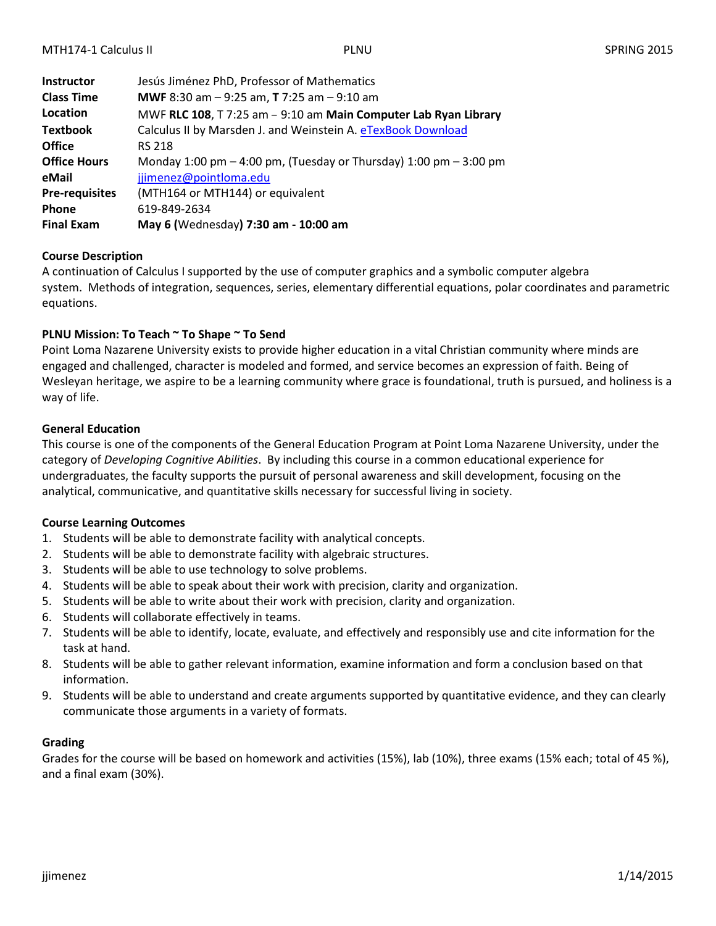| <b>Instructor</b>     | Jesús Jiménez PhD, Professor of Mathematics                           |
|-----------------------|-----------------------------------------------------------------------|
| <b>Class Time</b>     | <b>MWF</b> 8:30 am $-$ 9:25 am, <b>T</b> 7:25 am $-$ 9:10 am          |
| Location              | MWF RLC 108, T 7:25 am - 9:10 am Main Computer Lab Ryan Library       |
| <b>Textbook</b>       | Calculus II by Marsden J. and Weinstein A. eTexBook Download          |
| <b>Office</b>         | <b>RS 218</b>                                                         |
| <b>Office Hours</b>   | Monday 1:00 pm $-$ 4:00 pm, (Tuesday or Thursday) 1:00 pm $-$ 3:00 pm |
| eMail                 | jjimenez@pointloma.edu                                                |
| <b>Pre-requisites</b> | (MTH164 or MTH144) or equivalent                                      |
| Phone                 | 619-849-2634                                                          |
| <b>Final Exam</b>     | May 6 (Wednesday) 7:30 am - 10:00 am                                  |

# **Course Description**

A continuation of Calculus I supported by the use of computer graphics and a symbolic computer algebra system. Methods of integration, sequences, series, elementary differential equations, polar coordinates and parametric equations.

# **PLNU Mission: To Teach ~ To Shape ~ To Send**

Point Loma Nazarene University exists to provide higher education in a vital Christian community where minds are engaged and challenged, character is modeled and formed, and service becomes an expression of faith. Being of Wesleyan heritage, we aspire to be a learning community where grace is foundational, truth is pursued, and holiness is a way of life.

# **General Education**

This course is one of the components of the General Education Program at Point Loma Nazarene University, under the category of *Developing Cognitive Abilities*. By including this course in a common educational experience for undergraduates, the faculty supports the pursuit of personal awareness and skill development, focusing on the analytical, communicative, and quantitative skills necessary for successful living in society.

# **Course Learning Outcomes**

- 1. Students will be able to demonstrate facility with analytical concepts.
- 2. Students will be able to demonstrate facility with algebraic structures.
- 3. Students will be able to use technology to solve problems.
- 4. Students will be able to speak about their work with precision, clarity and organization.
- 5. Students will be able to write about their work with precision, clarity and organization.
- 6. Students will collaborate effectively in teams.
- 7. Students will be able to identify, locate, evaluate, and effectively and responsibly use and cite information for the task at hand.
- 8. Students will be able to gather relevant information, examine information and form a conclusion based on that information.
- 9. Students will be able to understand and create arguments supported by quantitative evidence, and they can clearly communicate those arguments in a variety of formats.

# **Grading**

Grades for the course will be based on homework and activities (15%), lab (10%), three exams (15% each; total of 45 %), and a final exam (30%).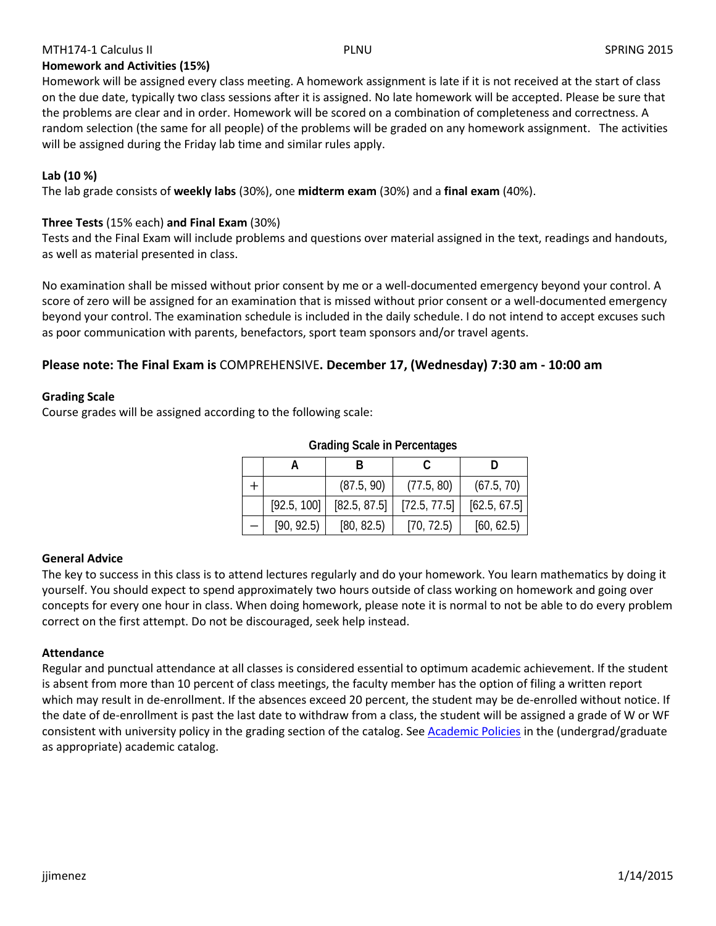# MTH174-1 Calculus II PLNU PLNU PLNU SPRING 2015

# **Homework and Activities (15%)**

Homework will be assigned every class meeting. A homework assignment is late if it is not received at the start of class on the due date, typically two class sessions after it is assigned. No late homework will be accepted. Please be sure that the problems are clear and in order. Homework will be scored on a combination of completeness and correctness. A random selection (the same for all people) of the problems will be graded on any homework assignment. The activities will be assigned during the Friday lab time and similar rules apply.

# **Lab (10 %)**

The lab grade consists of **weekly labs** (30%), one **midterm exam** (30%) and a **final exam** (40%).

# **Three Tests** (15% each) **and Final Exam** (30%)

Tests and the Final Exam will include problems and questions over material assigned in the text, readings and handouts, as well as material presented in class.

No examination shall be missed without prior consent by me or a well-documented emergency beyond your control. A score of zero will be assigned for an examination that is missed without prior consent or a well-documented emergency beyond your control. The examination schedule is included in the daily schedule. I do not intend to accept excuses such as poor communication with parents, benefactors, sport team sponsors and/or travel agents.

# **Please note: The Final Exam is** COMPREHENSIVE**. December 17, (Wednesday) 7:30 am - 10:00 am**

# **Grading Scale**

Course grades will be assigned according to the following scale:

|             | (87.5, 90)   | (77.5, 80)   | (67.5, 70)   |
|-------------|--------------|--------------|--------------|
| [92.5, 100] | [82.5, 87.5] | [72.5, 77.5] | [62.5, 67.5] |
| [90, 92.5]  | [80, 82.5]   | [70, 72.5]   | [60, 62.5]   |

#### **Grading Scale in Percentages**

# **General Advice**

The key to success in this class is to attend lectures regularly and do your homework. You learn mathematics by doing it yourself. You should expect to spend approximately two hours outside of class working on homework and going over concepts for every one hour in class. When doing homework, please note it is normal to not be able to do every problem correct on the first attempt. Do not be discouraged, seek help instead.

# **Attendance**

Regular and punctual attendance at all classes is considered essential to optimum academic achievement. If the student is absent from more than 10 percent of class meetings, the faculty member has the option of filing a written report which may result in de-enrollment. If the absences exceed 20 percent, the student may be de-enrolled without notice. If the date of de-enrollment is past the last date to withdraw from a class, the student will be assigned a grade of W or WF consistent with university policy in the grading section of the catalog. See [Academic Policies](http://www.pointloma.edu/experience/academics/catalogs/undergraduate-catalog/point-loma-education/academic-policies) in the (undergrad/graduate as appropriate) academic catalog.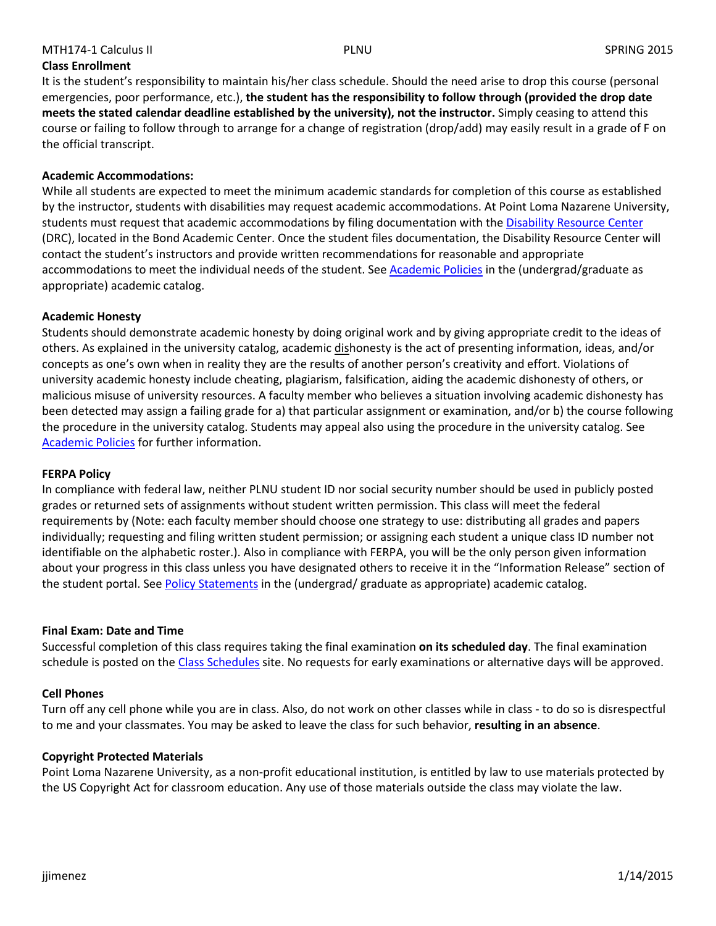# MTH174-1 Calculus II PLNU PLNU PLNU SPRING 2015

**Class Enrollment**

It is the student's responsibility to maintain his/her class schedule. Should the need arise to drop this course (personal emergencies, poor performance, etc.), **the student has the responsibility to follow through (provided the drop date meets the stated calendar deadline established by the university), not the instructor.** Simply ceasing to attend this course or failing to follow through to arrange for a change of registration (drop/add) may easily result in a grade of F on the official transcript.

# **Academic Accommodations:**

While all students are expected to meet the minimum academic standards for completion of this course as established by the instructor, students with disabilities may request academic accommodations. At Point Loma Nazarene University, students must request that academic accommodations by filing documentation with the [Disability Resource Center](http://www.pointloma.edu/experience/offices/administrative-offices/academic-advising-office/disability-resource-center) (DRC), located in the Bond Academic Center. Once the student files documentation, the Disability Resource Center will contact the student's instructors and provide written recommendations for reasonable and appropriate accommodations to meet the individual needs of the student. See [Academic Policies](http://www.pointloma.edu/experience/academics/catalogs/undergraduate-catalog/point-loma-education/academic-policies) in the (undergrad/graduate as appropriate) academic catalog.

# **Academic Honesty**

Students should demonstrate academic honesty by doing original work and by giving appropriate credit to the ideas of others. As explained in the university catalog, academic dishonesty is the act of presenting information, ideas, and/or concepts as one's own when in reality they are the results of another person's creativity and effort. Violations of university academic honesty include cheating, plagiarism, falsification, aiding the academic dishonesty of others, or malicious misuse of university resources. A faculty member who believes a situation involving academic dishonesty has been detected may assign a failing grade for a) that particular assignment or examination, and/or b) the course following the procedure in the university catalog. Students may appeal also using the procedure in the university catalog. See [Academic Policies](http://www.pointloma.edu/experience/academics/catalogs/undergraduate-catalog/point-loma-education/academic-policies) for further information.

# **FERPA Policy**

In compliance with federal law, neither PLNU student ID nor social security number should be used in publicly posted grades or returned sets of assignments without student written permission. This class will meet the federal requirements by (Note: each faculty member should choose one strategy to use: distributing all grades and papers individually; requesting and filing written student permission; or assigning each student a unique class ID number not identifiable on the alphabetic roster.). Also in compliance with FERPA, you will be the only person given information about your progress in this class unless you have designated others to receive it in the "Information Release" section of the student portal. See [Policy Statements](http://www.pointloma.edu/experience/academics/catalogs/undergraduate-catalog/policy-statements) in the (undergrad/ graduate as appropriate) academic catalog.

# **Final Exam: Date and Time**

Successful completion of this class requires taking the final examination **on its scheduled day**. The final examination schedule is posted on the [Class Schedules](http://www.pointloma.edu/experience/academics/class-schedules) site. No requests for early examinations or alternative days will be approved.

# **Cell Phones**

Turn off any cell phone while you are in class. Also, do not work on other classes while in class - to do so is disrespectful to me and your classmates. You may be asked to leave the class for such behavior, **resulting in an absence**.

# **Copyright Protected Materials**

Point Loma Nazarene University, as a non-profit educational institution, is entitled by law to use materials protected by the US Copyright Act for classroom education. Any use of those materials outside the class may violate the law.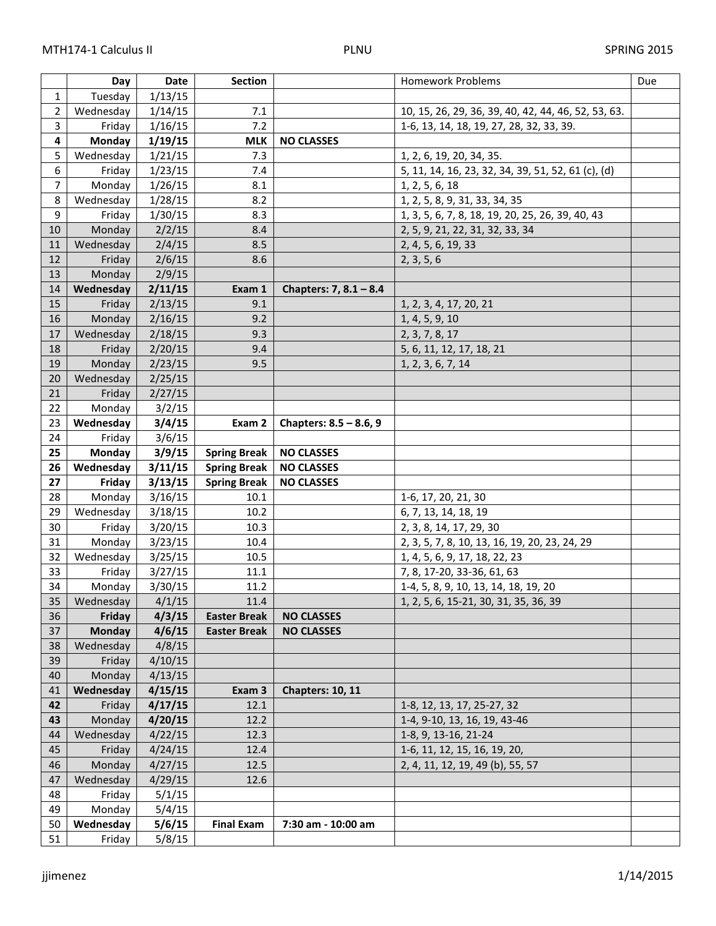|                         | Day           | Date    | <b>Section</b>      | <b>Homework Problems</b>                            |                                                  | Due |
|-------------------------|---------------|---------|---------------------|-----------------------------------------------------|--------------------------------------------------|-----|
| $\mathbf{1}$            | Tuesday       | 1/13/15 |                     |                                                     |                                                  |     |
| $\overline{2}$          | Wednesday     | 1/14/15 | 7.1                 | 10, 15, 26, 29, 36, 39, 40, 42, 44, 46, 52, 53, 63. |                                                  |     |
| $\overline{3}$          | Friday        | 1/16/15 | 7.2                 | 1-6, 13, 14, 18, 19, 27, 28, 32, 33, 39.            |                                                  |     |
| $\overline{\mathbf{4}}$ | Monday        | 1/19/15 | <b>MLK</b>          | <b>NO CLASSES</b>                                   |                                                  |     |
| 5                       | Wednesday     | 1/21/15 | 7.3                 | 1, 2, 6, 19, 20, 34, 35.                            |                                                  |     |
| $\overline{6}$          | Friday        | 1/23/15 | 7.4                 | 5, 11, 14, 16, 23, 32, 34, 39, 51, 52, 61 (c), (d)  |                                                  |     |
| $\overline{7}$          | Monday        | 1/26/15 | 8.1                 | 1, 2, 5, 6, 18                                      |                                                  |     |
| 8                       | Wednesday     | 1/28/15 | 8.2                 | 1, 2, 5, 8, 9, 31, 33, 34, 35                       |                                                  |     |
| 9                       | Friday        | 1/30/15 | 8.3                 |                                                     | 1, 3, 5, 6, 7, 8, 18, 19, 20, 25, 26, 39, 40, 43 |     |
| 10                      | Monday        | 2/2/15  | 8.4                 |                                                     | 2, 5, 9, 21, 22, 31, 32, 33, 34                  |     |
| 11                      | Wednesday     | 2/4/15  | 8.5                 | 2, 4, 5, 6, 19, 33                                  |                                                  |     |
| 12                      | Friday        | 2/6/15  | 8.6                 | 2, 3, 5, 6                                          |                                                  |     |
| 13                      | Monday        | 2/9/15  |                     |                                                     |                                                  |     |
| 14                      | Wednesday     | 2/11/15 | Exam 1              | Chapters: 7, $8.1 - 8.4$                            |                                                  |     |
| 15                      | Friday        | 2/13/15 | 9.1                 |                                                     | 1, 2, 3, 4, 17, 20, 21                           |     |
| 16                      | Monday        | 2/16/15 | 9.2                 |                                                     | 1, 4, 5, 9, 10                                   |     |
| 17                      | Wednesday     | 2/18/15 | 9.3                 |                                                     | 2, 3, 7, 8, 17                                   |     |
| 18                      | Friday        | 2/20/15 | 9.4                 |                                                     | 5, 6, 11, 12, 17, 18, 21                         |     |
| 19                      | Monday        | 2/23/15 | 9.5                 |                                                     | 1, 2, 3, 6, 7, 14                                |     |
| 20                      | Wednesday     | 2/25/15 |                     |                                                     |                                                  |     |
| 21                      | Friday        | 2/27/15 |                     |                                                     |                                                  |     |
| 22                      | Monday        | 3/2/15  |                     |                                                     |                                                  |     |
| 23                      | Wednesday     | 3/4/15  | Exam 2              | Chapters: $8.5 - 8.6$ , 9                           |                                                  |     |
| 24                      | Friday        | 3/6/15  |                     |                                                     |                                                  |     |
| 25                      | Monday        | 3/9/15  | <b>Spring Break</b> | <b>NO CLASSES</b>                                   |                                                  |     |
|                         |               |         |                     |                                                     |                                                  |     |
| 26                      | Wednesday     | 3/11/15 | <b>Spring Break</b> | <b>NO CLASSES</b>                                   |                                                  |     |
| 27                      | Friday        | 3/13/15 | <b>Spring Break</b> | <b>NO CLASSES</b>                                   |                                                  |     |
| 28                      | Monday        | 3/16/15 | 10.1                |                                                     | 1-6, 17, 20, 21, 30                              |     |
| 29                      | Wednesday     | 3/18/15 | 10.2                |                                                     | 6, 7, 13, 14, 18, 19                             |     |
| 30                      | Friday        | 3/20/15 | 10.3                |                                                     | 2, 3, 8, 14, 17, 29, 30                          |     |
| 31                      | Monday        | 3/23/15 | 10.4                |                                                     | 2, 3, 5, 7, 8, 10, 13, 16, 19, 20, 23, 24, 29    |     |
| 32                      | Wednesday     | 3/25/15 | 10.5                |                                                     | 1, 4, 5, 6, 9, 17, 18, 22, 23                    |     |
| 33                      | Friday        | 3/27/15 | 11.1                |                                                     | 7, 8, 17-20, 33-36, 61, 63                       |     |
| 34                      | Monday        | 3/30/15 | 11.2                |                                                     | 1-4, 5, 8, 9, 10, 13, 14, 18, 19, 20             |     |
| 35                      | Wednesday     | 4/1/15  | 11.4                |                                                     | 1, 2, 5, 6, 15-21, 30, 31, 35, 36, 39            |     |
| 36                      | Friday        | 4/3/15  | <b>Easter Break</b> | <b>NO CLASSES</b>                                   |                                                  |     |
| 37                      | <b>Monday</b> | 4/6/15  | <b>Easter Break</b> | <b>NO CLASSES</b>                                   |                                                  |     |
| 38                      | Wednesday     | 4/8/15  |                     |                                                     |                                                  |     |
| 39                      | Friday        | 4/10/15 |                     |                                                     |                                                  |     |
| 40                      | Monday        | 4/13/15 |                     |                                                     |                                                  |     |
| 41                      | Wednesday     | 4/15/15 | Exam 3              | Chapters: 10, 11                                    |                                                  |     |
| 42                      | Friday        | 4/17/15 | 12.1                |                                                     | 1-8, 12, 13, 17, 25-27, 32                       |     |
| 43                      | Monday        | 4/20/15 | 12.2                |                                                     | 1-4, 9-10, 13, 16, 19, 43-46                     |     |
| 44                      | Wednesday     | 4/22/15 | 12.3                |                                                     | 1-8, 9, 13-16, 21-24                             |     |
| 45                      | Friday        | 4/24/15 | 12.4                |                                                     | 1-6, 11, 12, 15, 16, 19, 20,                     |     |
| 46                      | Monday        | 4/27/15 | 12.5                |                                                     | 2, 4, 11, 12, 19, 49 (b), 55, 57                 |     |
| 47                      | Wednesday     | 4/29/15 | 12.6                |                                                     |                                                  |     |
| 48                      | Friday        | 5/1/15  |                     |                                                     |                                                  |     |
| 49                      | Monday        | 5/4/15  |                     |                                                     |                                                  |     |
| 50                      | Wednesday     | 5/6/15  | <b>Final Exam</b>   | 7:30 am - 10:00 am                                  |                                                  |     |